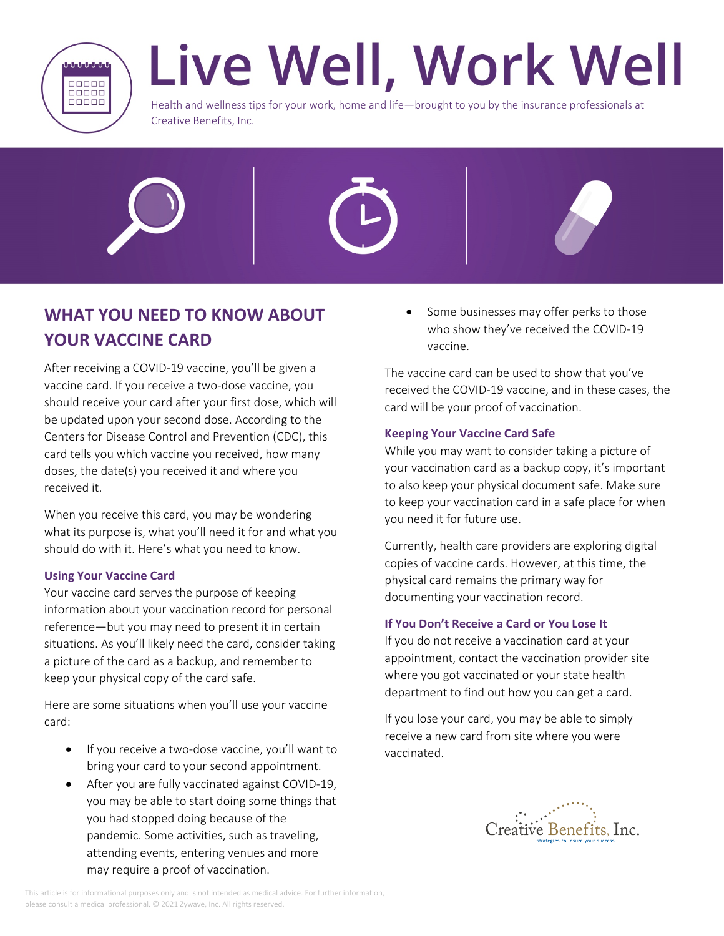

# Live Well, Work Well

Health and wellness tips for your work, home and life—brought to you by the insurance professionals at Creative Benefits, Inc.







After receiving a COVID-19 vaccine, you'll be given a vaccine card. If you receive a two-dose vaccine, you should receive your card after your first dose, which will be updated upon your second dose. According to the Centers for Disease Control and Prevention (CDC), this card tells you which vaccine you received, how many doses, the date(s) you received it and where you received it.

When you receive this card, you may be wondering what its purpose is, what you'll need it for and what you should do with it. Here's what you need to know.

# **Using Your Vaccine Card**

Your vaccine card serves the purpose of keeping information about your vaccination record for personal reference—but you may need to present it in certain situations. As you'll likely need the card, consider taking a picture of the card as a backup, and remember to keep your physical copy of the card safe.

Here are some situations when you'll use your vaccine card:

- If you receive a two-dose vaccine, you'll want to bring your card to your second appointment.
- After you are fully vaccinated against COVID-19, you may be able to start doing some things that you had stopped doing because of the pandemic. Some activities, such as traveling, attending events, entering venues and more may require a proof of vaccination.

 Some businesses may offer perks to those who show they've received the COVID-19 vaccine.

The vaccine card can be used to show that you've received the COVID-19 vaccine, and in these cases, the card will be your proof of vaccination.

### **Keeping Your Vaccine Card Safe**

While you may want to consider taking a picture of your vaccination card as a backup copy, it's important to also keep your physical document safe. Make sure to keep your vaccination card in a safe place for when you need it for future use.

Currently, health care providers are exploring digital copies of vaccine cards. However, at this time, the physical card remains the primary way for documenting your vaccination record.

# **If You Don't Receive a Card or You Lose It**

If you do not receive a vaccination card at your appointment, contact the vaccination provider site where you got vaccinated or your state health department to find out how you can get a card.

If you lose your card, you may be able to simply receive a new card from site where you were vaccinated.